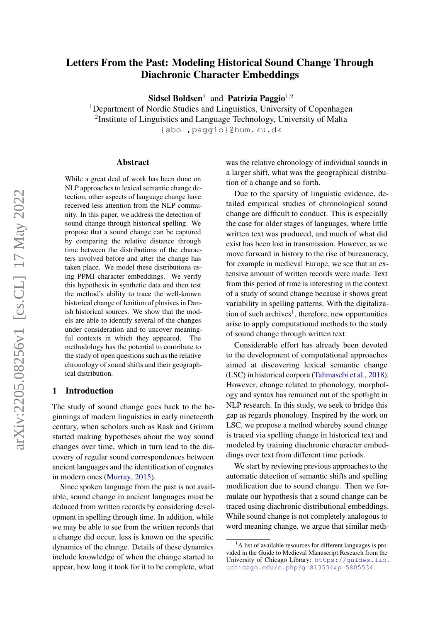# Letters From the Past: Modeling Historical Sound Change Through Diachronic Character Embeddings

Sidsel Boldsen<sup>1</sup> and Patrizia Paggio<sup>1,2</sup>

<sup>1</sup>Department of Nordic Studies and Linguistics, University of Copenhagen <sup>2</sup>Institute of Linguistics and Language Technology, University of Malta {sbol,paggio}@hum.ku.dk

#### Abstract

While a great deal of work has been done on NLP approaches to lexical semantic change detection, other aspects of language change have received less attention from the NLP community. In this paper, we address the detection of sound change through historical spelling. We propose that a sound change can be captured by comparing the relative distance through time between the distributions of the characters involved before and after the change has taken place. We model these distributions using PPMI character embeddings. We verify this hypothesis in synthetic data and then test the method's ability to trace the well-known historical change of lenition of plosives in Danish historical sources. We show that the models are able to identify several of the changes under consideration and to uncover meaningful contexts in which they appeared. The methodology has the potential to contribute to the study of open questions such as the relative chronology of sound shifts and their geographical distribution.

#### 1 Introduction

The study of sound change goes back to the beginnings of modern linguistics in early nineteenth century, when scholars such as Rask and Grimm started making hypotheses about the way sound changes over time, which in turn lead to the discovery of regular sound correspondences between ancient languages and the identification of cognates in modern ones [\(Murray,](#page-9-0) [2015\)](#page-9-0).

Since spoken language from the past is not available, sound change in ancient languages must be deduced from written records by considering development in spelling through time. In addition, while we may be able to see from the written records that a change did occur, less is known on the specific dynamics of the change. Details of these dynamics include knowledge of when the change started to appear, how long it took for it to be complete, what was the relative chronology of individual sounds in a larger shift, what was the geographical distribution of a change and so forth.

Due to the sparsity of linguistic evidence, detailed empirical studies of chronological sound change are difficult to conduct. This is especially the case for older stages of languages, where little written text was produced, and much of what did exist has been lost in transmission. However, as we move forward in history to the rise of bureaucracy, for example in medieval Europe, we see that an extensive amount of written records were made. Text from this period of time is interesting in the context of a study of sound change because it shows great variability in spelling patterns. With the digitaliza-tion of such archives<sup>[1](#page-0-0)</sup>, therefore, new opportunities arise to apply computational methods to the study of sound change through written text.

Considerable effort has already been devoted to the development of computational approaches aimed at discovering lexical semantic change (LSC) in historical corpora [\(Tahmasebi et al.,](#page-9-1) [2018\)](#page-9-1). However, change related to phonology, morphology and syntax has remained out of the spotlight in NLP research. In this study, we seek to bridge this gap as regards phonology. Inspired by the work on LSC, we propose a method whereby sound change is traced via spelling change in historical text and modeled by training diachronic character embeddings over text from different time periods.

We start by reviewing previous approaches to the automatic detection of semantic shifts and spelling modification due to sound change. Then we formulate our hypothesis that a sound change can be traced using diachronic distributional embeddings. While sound change is not completely analogous to word meaning change, we argue that similar meth-

<span id="page-0-0"></span> $<sup>1</sup>A$  list of available resources for different languages is pro-</sup> vided in the Guide to Medieval Manuscript Research from the University of Chicago Library: [https://guides.lib.](https://guides.lib.uchicago.edu/c.php?g=813534&p=5805534) [uchicago.edu/c.php?g=813534&p=5805534](https://guides.lib.uchicago.edu/c.php?g=813534&p=5805534).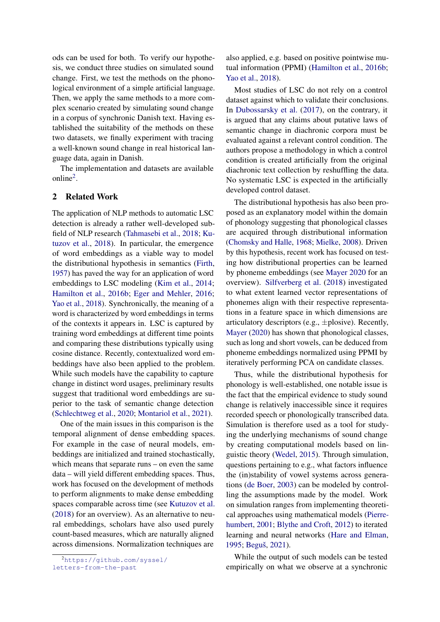ods can be used for both. To verify our hypothesis, we conduct three studies on simulated sound change. First, we test the methods on the phonological environment of a simple artificial language. Then, we apply the same methods to a more complex scenario created by simulating sound change in a corpus of synchronic Danish text. Having established the suitability of the methods on these two datasets, we finally experiment with tracing a well-known sound change in real historical language data, again in Danish.

The implementation and datasets are available online<sup>[2](#page-1-0)</sup>.

### 2 Related Work

The application of NLP methods to automatic LSC detection is already a rather well-developed subfield of NLP research [\(Tahmasebi et al.,](#page-9-1) [2018;](#page-9-1) [Ku](#page-9-2)[tuzov et al.,](#page-9-2) [2018\)](#page-9-2). In particular, the emergence of word embeddings as a viable way to model the distributional hypothesis in semantics [\(Firth,](#page-8-0) [1957\)](#page-8-0) has paved the way for an application of word embeddings to LSC modeling [\(Kim et al.,](#page-9-3) [2014;](#page-9-3) [Hamilton et al.,](#page-9-4) [2016b;](#page-9-4) [Eger and Mehler,](#page-8-1) [2016;](#page-8-1) [Yao et al.,](#page-9-5) [2018\)](#page-9-5). Synchronically, the meaning of a word is characterized by word embeddings in terms of the contexts it appears in. LSC is captured by training word embeddings at different time points and comparing these distributions typically using cosine distance. Recently, contextualized word embeddings have also been applied to the problem. While such models have the capability to capture change in distinct word usages, preliminary results suggest that traditional word embeddings are superior to the task of semantic change detection [\(Schlechtweg et al.,](#page-9-6) [2020;](#page-9-6) [Montariol et al.,](#page-9-7) [2021\)](#page-9-7).

One of the main issues in this comparison is the temporal alignment of dense embedding spaces. For example in the case of neural models, embeddings are initialized and trained stochastically, which means that separate runs – on even the same data – will yield different embedding spaces. Thus, work has focused on the development of methods to perform alignments to make dense embedding spaces comparable across time (see [Kutuzov et al.](#page-9-2) [\(2018\)](#page-9-2) for an overview). As an alternative to neural embeddings, scholars have also used purely count-based measures, which are naturally aligned across dimensions. Normalization techniques are

<span id="page-1-0"></span><sup>2</sup>[https://github.com/syssel/](https://github.com/syssel/letters-from-the-past)

also applied, e.g. based on positive pointwise mutual information (PPMI) [\(Hamilton et al.,](#page-9-4) [2016b;](#page-9-4) [Yao et al.,](#page-9-5) [2018\)](#page-9-5).

Most studies of LSC do not rely on a control dataset against which to validate their conclusions. In [Dubossarsky et al.](#page-8-2) [\(2017\)](#page-8-2), on the contrary, it is argued that any claims about putative laws of semantic change in diachronic corpora must be evaluated against a relevant control condition. The authors propose a methodology in which a control condition is created artificially from the original diachronic text collection by reshuffling the data. No systematic LSC is expected in the artificially developed control dataset.

The distributional hypothesis has also been proposed as an explanatory model within the domain of phonology suggesting that phonological classes are acquired through distributional information [\(Chomsky and Halle,](#page-8-3) [1968;](#page-8-3) [Mielke,](#page-9-8) [2008\)](#page-9-8). Driven by this hypothesis, recent work has focused on testing how distributional properties can be learned by phoneme embeddings (see [Mayer](#page-9-9) [2020](#page-9-9) for an overview). [Silfverberg et al.](#page-9-10) [\(2018\)](#page-9-10) investigated to what extent learned vector representations of phonemes align with their respective representations in a feature space in which dimensions are articulatory descriptors (e.g.,  $\pm$ plosive). Recently, [Mayer](#page-9-9) [\(2020\)](#page-9-9) has shown that phonological classes, such as long and short vowels, can be deduced from phoneme embeddings normalized using PPMI by iteratively performing PCA on candidate classes.

Thus, while the distributional hypothesis for phonology is well-established, one notable issue is the fact that the empirical evidence to study sound change is relatively inaccessible since it requires recorded speech or phonologically transcribed data. Simulation is therefore used as a tool for studying the underlying mechanisms of sound change by creating computational models based on linguistic theory [\(Wedel,](#page-9-11) [2015\)](#page-9-11). Through simulation, questions pertaining to e.g., what factors influence the (in)stability of vowel systems across generations [\(de Boer,](#page-8-4) [2003\)](#page-8-4) can be modeled by controlling the assumptions made by the model. Work on simulation ranges from implementing theoretical approaches using mathematical models [\(Pierre](#page-9-12)[humbert,](#page-9-12) [2001;](#page-9-12) [Blythe and Croft,](#page-8-5) [2012\)](#page-8-5) to iterated learning and neural networks [\(Hare and Elman,](#page-9-13) [1995;](#page-9-13) [Beguš,](#page-8-6) [2021\)](#page-8-6).

While the output of such models can be tested empirically on what we observe at a synchronic

[letters-from-the-past](https://github.com/syssel/letters-from-the-past)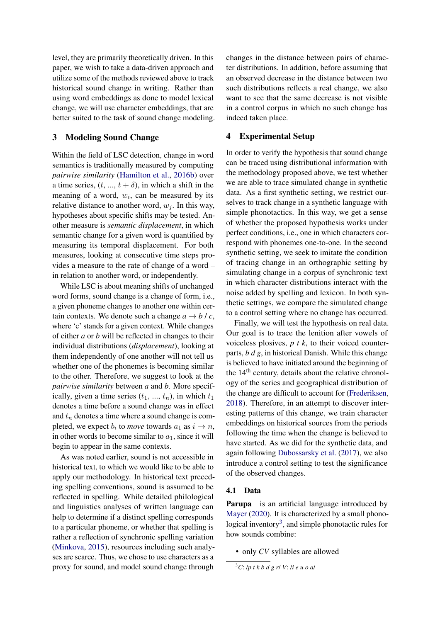level, they are primarily theoretically driven. In this paper, we wish to take a data-driven approach and utilize some of the methods reviewed above to track historical sound change in writing. Rather than using word embeddings as done to model lexical change, we will use character embeddings, that are better suited to the task of sound change modeling.

#### 3 Modeling Sound Change

Within the field of LSC detection, change in word semantics is traditionally measured by computing *pairwise similarity* [\(Hamilton et al.,](#page-9-4) [2016b\)](#page-9-4) over a time series,  $(t, ..., t + \delta)$ , in which a shift in the meaning of a word,  $w_i$ , can be measured by its relative distance to another word,  $w_i$ . In this way, hypotheses about specific shifts may be tested. Another measure is *semantic displacement*, in which semantic change for a given word is quantified by measuring its temporal displacement. For both measures, looking at consecutive time steps provides a measure to the rate of change of a word – in relation to another word, or independently.

While LSC is about meaning shifts of unchanged word forms, sound change is a change of form, i.e., a given phoneme changes to another one within certain contexts. We denote such a change  $a \rightarrow b / c$ , where 'c' stands for a given context. While changes of either *a* or *b* will be reflected in changes to their individual distributions (*displacement*), looking at them independently of one another will not tell us whether one of the phonemes is becoming similar to the other. Therefore, we suggest to look at the *pairwise similarity* between *a* and *b*. More specifically, given a time series  $(t_1, ..., t_n)$ , in which  $t_1$ denotes a time before a sound change was in effect and  $t_n$  denotes a time where a sound change is completed, we expect  $b_i$  to *move* towards  $a_1$  as  $i \rightarrow n$ , in other words to become similar to  $a_1$ , since it will begin to appear in the same contexts.

As was noted earlier, sound is not accessible in historical text, to which we would like to be able to apply our methodology. In historical text preceding spelling conventions, sound is assumed to be reflected in spelling. While detailed philological and linguistics analyses of written language can help to determine if a distinct spelling corresponds to a particular phoneme, or whether that spelling is rather a reflection of synchronic spelling variation [\(Minkova,](#page-9-14) [2015\)](#page-9-14), resources including such analyses are scarce. Thus, we chose to use characters as a proxy for sound, and model sound change through

changes in the distance between pairs of character distributions. In addition, before assuming that an observed decrease in the distance between two such distributions reflects a real change, we also want to see that the same decrease is not visible in a control corpus in which no such change has indeed taken place.

## 4 Experimental Setup

In order to verify the hypothesis that sound change can be traced using distributional information with the methodology proposed above, we test whether we are able to trace simulated change in synthetic data. As a first synthetic setting, we restrict ourselves to track change in a synthetic language with simple phonotactics. In this way, we get a sense of whether the proposed hypothesis works under perfect conditions, i.e., one in which characters correspond with phonemes one-to-one. In the second synthetic setting, we seek to imitate the condition of tracing change in an orthographic setting by simulating change in a corpus of synchronic text in which character distributions interact with the noise added by spelling and lexicon. In both synthetic settings, we compare the simulated change to a control setting where no change has occurred.

Finally, we will test the hypothesis on real data. Our goal is to trace the lenition after vowels of voiceless plosives, *p t k*, to their voiced counterparts, *b d g*, in historical Danish. While this change is believed to have initiated around the beginning of the  $14<sup>th</sup>$  century, details about the relative chronology of the series and geographical distribution of the change are difficult to account for [\(Frederiksen,](#page-8-7) [2018\)](#page-8-7). Therefore, in an attempt to discover interesting patterns of this change, we train character embeddings on historical sources from the periods following the time when the change is believed to have started. As we did for the synthetic data, and again following [Dubossarsky et al.](#page-8-2) [\(2017\)](#page-8-2), we also introduce a control setting to test the significance of the observed changes.

#### 4.1 Data

Parupa is an artificial language introduced by [Mayer](#page-9-9) [\(2020\)](#page-9-9). It is characterized by a small phono-logical inventory<sup>[3](#page-2-0)</sup>, and simple phonotactic rules for how sounds combine:

• only *CV* syllables are allowed

<span id="page-2-0"></span><sup>3</sup>*C*: /*p t k b d g r*/ *V*: /*i e u o a*/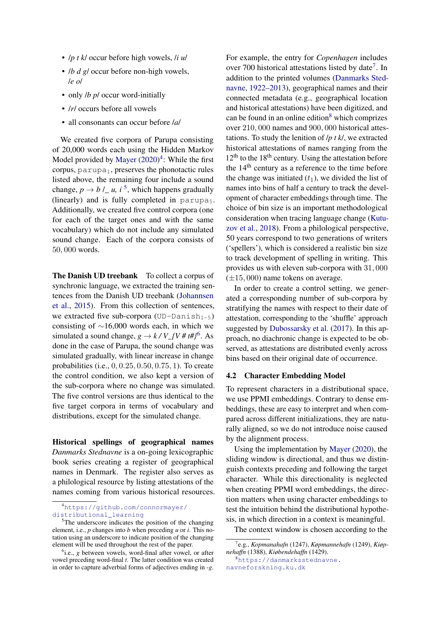- /*p t k*/ occur before high vowels, /*i u*/
- */b d g/* occur before non-high vowels, /*e o*/
- only */b p/* occur word-initially
- /*r*/ occurs before all vowels
- all consonants can occur before /*a*/

We created five corpora of Parupa consisting of 20,000 words each using the Hidden Markov Model provided by [Mayer](#page-9-9) [\(2020\)](#page-9-9)<sup>[4](#page-3-0)</sup>: While the first corpus,  $\text{parupa}_1$ , preserves the phonotactic rules listed above, the remaining four include a sound change,  $p \rightarrow b / a$ , *i*<sup>[5](#page-3-1)</sup>, which happens gradually (linearly) and is fully completed in  $parupa<sub>5</sub>$ . Additionally, we created five control corpora (one for each of the target ones and with the same vocabulary) which do not include any simulated sound change. Each of the corpora consists of 50, 000 words.

The Danish UD treebank To collect a corpus of synchronic language, we extracted the training sentences from the Danish UD treebank [\(Johannsen](#page-9-15) [et al.,](#page-9-15) [2015\)](#page-9-15). From this collection of sentences, we extracted five sub-corpora (UD-Danish<sub>1-5</sub>) consisting of ∼16,000 words each, in which we simulated a sound change,  $g \rightarrow k / V_{N} / (V \# t \#)^{6}$  $g \rightarrow k / V_{N} / (V \# t \#)^{6}$  $g \rightarrow k / V_{N} / (V \# t \#)^{6}$ . As done in the case of Parupa, the sound change was simulated gradually, with linear increase in change probabilities (i.e., 0, 0.25, 0.50, 0.75, 1). To create the control condition, we also kept a version of the sub-corpora where no change was simulated. The five control versions are thus identical to the five target corpora in terms of vocabulary and distributions, except for the simulated change.

Historical spellings of geographical names *Danmarks Stednavne* is a on-going lexicographic book series creating a register of geographical names in Denmark. The register also serves as a philological resource by listing attestations of the names coming from various historical resources. For example, the entry for *Copenhagen* includes over [7](#page-3-3)00 historical attestations listed by date<sup>7</sup>. In addition to the printed volumes [\(Danmarks Sted](#page-8-8)[navne,](#page-8-8) [1922–2013\)](#page-8-8), geographical names and their connected metadata (e.g., geographical location and historical attestations) have been digitized, and can be found in an online edition<sup>[8](#page-3-4)</sup> which comprizes over 210, 000 names and 900, 000 historical attestations. To study the lenition of /*p t k*/, we extracted historical attestations of names ranging from the  $12<sup>th</sup>$  to the 18<sup>th</sup> century. Using the attestation before the  $14<sup>th</sup>$  century as a reference to the time before the change was initiated  $(t_1)$ , we divided the list of names into bins of half a century to track the development of character embeddings through time. The choice of bin size is an important methodological consideration when tracing language change [\(Kutu](#page-9-2)[zov et al.,](#page-9-2) [2018\)](#page-9-2). From a philological perspective, 50 years correspond to two generations of writers ('spellers'), which is considered a realistic bin size to track development of spelling in writing. This provides us with eleven sub-corpora with 31, 000  $(\pm 15,000)$  name tokens on average.

In order to create a control setting, we generated a corresponding number of sub-corpora by stratifying the names with respect to their date of attestation, corresponding to the 'shuffle' approach suggested by [Dubossarsky et al.](#page-8-2) [\(2017\)](#page-8-2). In this approach, no diachronic change is expected to be observed, as attestations are distributed evenly across bins based on their original date of occurrence.

#### 4.2 Character Embedding Model

To represent characters in a distributional space, we use PPMI embeddings. Contrary to dense embeddings, these are easy to interpret and when compared across different initializations, they are naturally aligned, so we do not introduce noise caused by the alignment process.

Using the implementation by [Mayer](#page-9-9) [\(2020\)](#page-9-9), the sliding window is directional, and thus we distinguish contexts preceding and following the target character. While this directionality is neglected when creating PPMI word embeddings, the direction matters when using character embeddings to test the intuition behind the distributional hypothesis, in which direction in a context is meaningful.

The context window is chosen according to the

[navneforskning.ku.dk](https://danmarksstednavne.navneforskning.ku.dk)

<span id="page-3-0"></span><sup>4</sup>[https://github.com/connormayer/](https://github.com/connormayer/distributional_learning) [distributional\\_learning](https://github.com/connormayer/distributional_learning)

<span id="page-3-1"></span><sup>5</sup>The underscore indicates the position of the changing element, i.e., *p* changes into *b* when preceding *u* or *i*. This notation using an underscore to indicate position of the changing element will be used throughout the rest of the paper.

<span id="page-3-2"></span><sup>&</sup>lt;sup>6</sup>i.e., *g* between vowels, word-final after vowel, or after vowel preceding word-final *t*. The latter condition was created in order to capture adverbial forms of adjectives ending in -*g*.

<span id="page-3-3"></span><sup>7</sup> e.g., *Kopmanahafn* (1247), *Køpmannehafn* (1249), *Kiøpnehaffn* (1388), *Kiøbendehaffn* (1429).

<span id="page-3-4"></span> $^8$ [https://danmarksstednavne.](https://danmarksstednavne.navneforskning.ku.dk)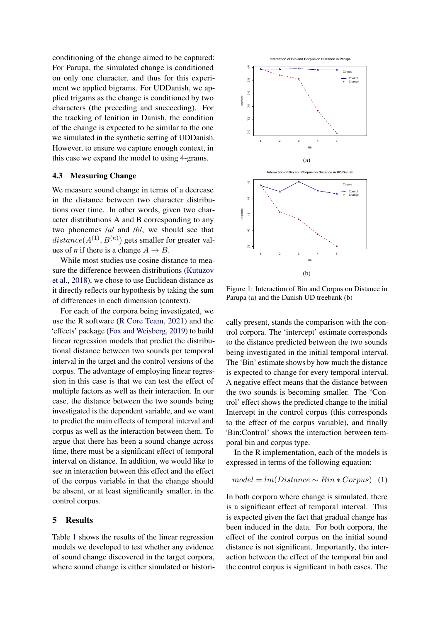conditioning of the change aimed to be captured: For Parupa, the simulated change is conditioned on only one character, and thus for this experiment we applied bigrams. For UDDanish, we applied trigams as the change is conditioned by two characters (the preceding and succeeding). For the tracking of lenition in Danish, the condition of the change is expected to be similar to the one we simulated in the synthetic setting of UDDanish. However, to ensure we capture enough context, in this case we expand the model to using 4-grams.

#### 4.3 Measuring Change

We measure sound change in terms of a decrease in the distance between two character distributions over time. In other words, given two character distributions A and B corresponding to any two phonemes /*a*/ and /*b*/, we should see that  $distance(A^{(1)}, B^{(n)})$  gets smaller for greater values of *n* if there is a change  $A \rightarrow B$ .

While most studies use cosine distance to measure the difference between distributions [\(Kutuzov](#page-9-2) [et al.,](#page-9-2) [2018\)](#page-9-2), we chose to use Euclidean distance as it directly reflects our hypothesis by taking the sum of differences in each dimension (context).

For each of the corpora being investigated, we use the R software [\(R Core Team,](#page-9-16) [2021\)](#page-9-16) and the 'effects' package [\(Fox and Weisberg,](#page-8-9) [2019\)](#page-8-9) to build linear regression models that predict the distributional distance between two sounds per temporal interval in the target and the control versions of the corpus. The advantage of employing linear regression in this case is that we can test the effect of multiple factors as well as their interaction. In our case, the distance between the two sounds being investigated is the dependent variable, and we want to predict the main effects of temporal interval and corpus as well as the interaction between them. To argue that there has been a sound change across time, there must be a significant effect of temporal interval on distance. In addition, we would like to see an interaction between this effect and the effect of the corpus variable in that the change should be absent, or at least significantly smaller, in the control corpus.

#### 5 Results

Table [1](#page-5-0) shows the results of the linear regression models we developed to test whether any evidence of sound change discovered in the target corpora, where sound change is either simulated or histori-

<span id="page-4-0"></span>

Figure 1: Interaction of Bin and Corpus on Distance in Parupa (a) and the Danish UD treebank (b)

cally present, stands the comparison with the control corpora. The 'intercept' estimate corresponds to the distance predicted between the two sounds being investigated in the initial temporal interval. The 'Bin' estimate shows by how much the distance is expected to change for every temporal interval. A negative effect means that the distance between the two sounds is becoming smaller. The 'Control' effect shows the predicted change to the initial Intercept in the control corpus (this corresponds to the effect of the corpus variable), and finally 'Bin:Control' shows the interaction between temporal bin and corpus type.

In the R implementation, each of the models is expressed in terms of the following equation:

$$
model = lm(Distance \sim Bin * Corpus) \quad (1)
$$

In both corpora where change is simulated, there is a significant effect of temporal interval. This is expected given the fact that gradual change has been induced in the data. For both corpora, the effect of the control corpus on the initial sound distance is not significant. Importantly, the interaction between the effect of the temporal bin and the control corpus is significant in both cases. The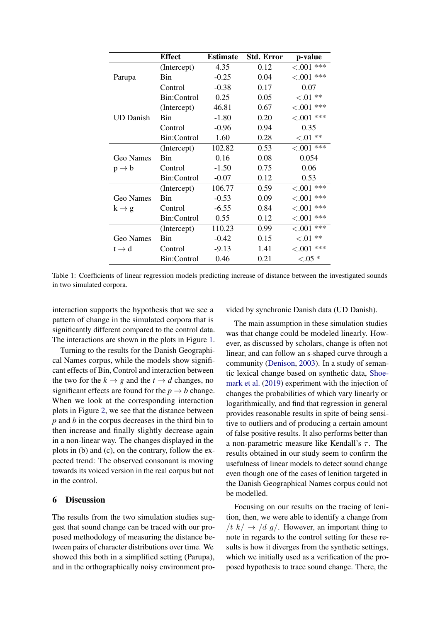<span id="page-5-0"></span>

|                   | <b>Effect</b>      | <b>Estimate</b> | <b>Std. Error</b> | p-value          |
|-------------------|--------------------|-----------------|-------------------|------------------|
|                   | (Intercept)        | 4.35            | 0.12              | ***<br>< 0.001   |
| Parupa            | Bin                | $-0.25$         | 0.04              | $< 0.001$ ***    |
|                   | Control            | $-0.38$         | 0.17              | 0.07             |
|                   | Bin:Control        | 0.25            | 0.05              | ${<}.01$ **      |
|                   | (Intercept)        | 46.81           | 0.67              | ***<br>< 0.001   |
| <b>UD</b> Danish  | Bin                | $-1.80$         | 0.20              | $< 0.01$ ***     |
|                   | Control            | $-0.96$         | 0.94              | 0.35             |
|                   | <b>Bin:Control</b> | 1.60            | 0.28              | $< 01$ **        |
|                   | (Intercept)        | 102.82          | 0.53              | $< 0.001$ ***    |
| Geo Names         | Bin                | 0.16            | 0.08              | 0.054            |
| $p \rightarrow b$ | Control            | $-1.50$         | 0.75              | 0.06             |
|                   | <b>Bin:Control</b> | $-0.07$         | 0.12              | 0.53             |
|                   | (Intercept)        | 106.77          | 0.59              | $< 0.001$ ***    |
| Geo Names         | Bin                | $-0.53$         | 0.09              | ***<br>${<}.001$ |
| $k \rightarrow g$ | Control            | $-6.55$         | 0.84              | ***<br>${<}.001$ |
|                   | Bin:Control        | 0.55            | 0.12              | ***<br>< .001    |
|                   | (Intercept)        | 110.23          | 0.99              | $< 0.001$ ***    |
| Geo Names         | <b>Bin</b>         | $-0.42$         | 0.15              | ${<}.01$ **      |
| $t \rightarrow d$ | Control            | $-9.13$         | 1.41              | $< 0.01$ ***     |
|                   | Bin:Control        | 0.46            | 0.21              | ${<}.05*$        |

Table 1: Coefficients of linear regression models predicting increase of distance between the investigated sounds in two simulated corpora.

interaction supports the hypothesis that we see a pattern of change in the simulated corpora that is significantly different compared to the control data. The interactions are shown in the plots in Figure [1.](#page-4-0)

Turning to the results for the Danish Geographical Names corpus, while the models show significant effects of Bin, Control and interaction between the two for the  $k \rightarrow g$  and the  $t \rightarrow d$  changes, no significant effects are found for the  $p \rightarrow b$  change. When we look at the corresponding interaction plots in Figure [2,](#page-6-0) we see that the distance between *p* and *b* in the corpus decreases in the third bin to then increase and finally slightly decrease again in a non-linear way. The changes displayed in the plots in (b) and (c), on the contrary, follow the expected trend: The observed consonant is moving towards its voiced version in the real corpus but not in the control.

## 6 Discussion

The results from the two simulation studies suggest that sound change can be traced with our proposed methodology of measuring the distance between pairs of character distributions over time. We showed this both in a simplified setting (Parupa), and in the orthographically noisy environment provided by synchronic Danish data (UD Danish).

The main assumption in these simulation studies was that change could be modeled linearly. However, as discussed by scholars, change is often not linear, and can follow an s-shaped curve through a community [\(Denison,](#page-8-10) [2003\)](#page-8-10). In a study of semantic lexical change based on synthetic data, [Shoe](#page-9-17)[mark et al.](#page-9-17) [\(2019\)](#page-9-17) experiment with the injection of changes the probabilities of which vary linearly or logarithmically, and find that regression in general provides reasonable results in spite of being sensitive to outliers and of producing a certain amount of false positive results. It also performs better than a non-parametric measure like Kendall's  $\tau$ . The results obtained in our study seem to confirm the usefulness of linear models to detect sound change even though one of the cases of lenition targeted in the Danish Geographical Names corpus could not be modelled.

Focusing on our results on the tracing of lenition, then, we were able to identify a change from /t  $k \rightarrow /d$  g/. However, an important thing to note in regards to the control setting for these results is how it diverges from the synthetic settings, which we initially used as a verification of the proposed hypothesis to trace sound change. There, the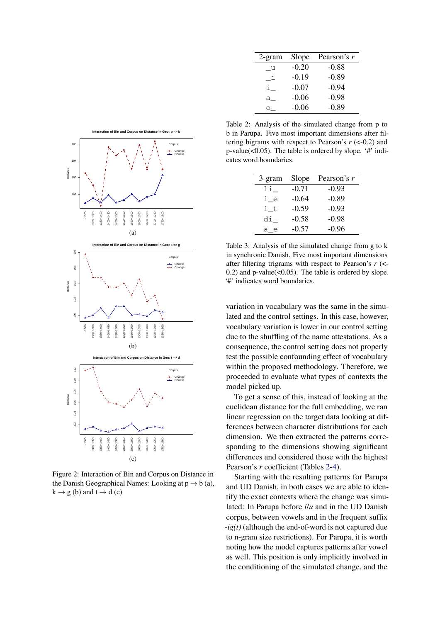<span id="page-6-1"></span>

| 2-gram           | Slope   | Pearson's r |
|------------------|---------|-------------|
| $\_{\mathrm{u}}$ | $-0.20$ | $-0.88$     |
| $\mathbf{1}$     | $-0.19$ | $-0.89$     |
|                  | $-0.07$ | $-0.94$     |
| а                | $-0.06$ | $-0.98$     |
|                  | $-0.06$ | $-0.89$     |

<span id="page-6-0"></span>

Figure 2: Interaction of Bin and Corpus on Distance in the Danish Geographical Names: Looking at  $p \rightarrow b$  (a),  $k \rightarrow g$  (b) and  $t \rightarrow d$  (c)

Table 2: Analysis of the simulated change from p to b in Parupa. Five most important dimensions after filtering bigrams with respect to Pearson's *r* (<-0.2) and p-value(<0.05). The table is ordered by slope. '#' indicates word boundaries.

| 3-gram | Slope   | Pearson's r |
|--------|---------|-------------|
| li.    | $-0.71$ | $-0.93$     |
| i e    | $-0.64$ | $-0.89$     |
| i t    | $-0.59$ | $-0.93$     |
| di     | $-0.58$ | $-0.98$     |
| a e    | $-0.57$ | $-0.96$     |

Table 3: Analysis of the simulated change from g to k in synchronic Danish. Five most important dimensions after filtering trigrams with respect to Pearson's *r* (<- 0.2) and p-value $(<0.05)$ . The table is ordered by slope. '#' indicates word boundaries.

variation in vocabulary was the same in the simulated and the control settings. In this case, however, vocabulary variation is lower in our control setting due to the shuffling of the name attestations. As a consequence, the control setting does not properly test the possible confounding effect of vocabulary within the proposed methodology. Therefore, we proceeded to evaluate what types of contexts the model picked up.

To get a sense of this, instead of looking at the euclidean distance for the full embedding, we ran linear regression on the target data looking at differences between character distributions for each dimension. We then extracted the patterns corresponding to the dimensions showing significant differences and considered those with the highest Pearson's *r* coefficient (Tables [2](#page-6-1)[-4\)](#page-7-0).

Starting with the resulting patterns for Parupa and UD Danish, in both cases we are able to identify the exact contexts where the change was simulated: In Parupa before *i*/*u* and in the UD Danish corpus, between vowels and in the frequent suffix -*ig(t)* (although the end-of-word is not captured due to n-gram size restrictions). For Parupa, it is worth noting how the model captures patterns after vowel as well. This position is only implicitly involved in the conditioning of the simulated change, and the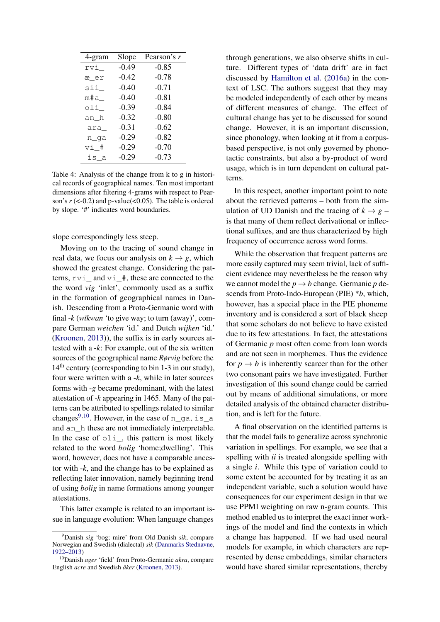<span id="page-7-0"></span>

| 4-gram  | Slope   | Pearson's r |
|---------|---------|-------------|
| rvi_    | $-0.49$ | $-0.85$     |
| æ_er    | $-0.42$ | $-0.78$     |
| sii_    | $-0.40$ | $-0.71$     |
| m#a     | $-0.40$ | $-0.81$     |
| oli     | $-0.39$ | $-0.84$     |
| an_h    | $-0.32$ | $-0.80$     |
| ara     | $-0.31$ | $-0.62$     |
| n_ga    | $-0.29$ | $-0.82$     |
| $v_1$ # | $-0.29$ | $-0.70$     |
| is a    | $-0.29$ | $-0.73$     |

Table 4: Analysis of the change from k to g in historical records of geographical names. Ten most important dimensions after filtering 4-grams with respect to Pearson's  $r \approx (0.2)$  and p-value $\approx (0.05)$ . The table is ordered by slope. '#' indicates word boundaries.

slope correspondingly less steep.

Moving on to the tracing of sound change in real data, we focus our analysis on  $k \rightarrow g$ , which showed the greatest change. Considering the patterns,  $rvi$  and  $vi$  #, these are connected to the the word *vig* 'inlet', commonly used as a suffix in the formation of geographical names in Danish. Descending from a Proto-Germanic word with final -*k* (*w¯ıkwan* 'to give way; to turn (away)', compare German *weichen* 'id.' and Dutch *wijken* 'id.' [\(Kroonen,](#page-9-18) [2013\)](#page-9-18)), the suffix is in early sources attested with a -*k*: For example, out of the six written sources of the geographical name *Rørvig* before the 14<sup>th</sup> century (corresponding to bin 1-3 in our study), four were written with a -*k*, while in later sources forms with -*g* became predominant, with the latest attestation of -*k* appearing in 1465. Many of the patterns can be attributed to spellings related to similar changes<sup>[9,](#page-7-1)[10](#page-7-2)</sup>. However, in the case of  $n_{q}a$ , is a and an\_h these are not immediately interpretable. In the case of  $\circ$ 1i<sub>,</sub> this pattern is most likely related to the word *bolig* 'home;dwelling'. This word, however, does not have a comparable ancestor with -*k*, and the change has to be explained as reflecting later innovation, namely beginning trend of using *bolig* in name formations among younger attestations.

This latter example is related to an important issue in language evolution: When language changes

through generations, we also observe shifts in culture. Different types of 'data drift' are in fact discussed by [Hamilton et al.](#page-8-11) [\(2016a\)](#page-8-11) in the context of LSC. The authors suggest that they may be modeled independently of each other by means of different measures of change. The effect of cultural change has yet to be discussed for sound change. However, it is an important discussion, since phonology, when looking at it from a corpusbased perspective, is not only governed by phonotactic constraints, but also a by-product of word usage, which is in turn dependent on cultural patterns.

In this respect, another important point to note about the retrieved patterns – both from the simulation of UD Danish and the tracing of  $k \rightarrow g$  – is that many of them reflect derivational or inflectional suffixes, and are thus characterized by high frequency of occurrence across word forms.

While the observation that frequent patterns are more easily captured may seem trivial, lack of sufficient evidence may nevertheless be the reason why we cannot model the  $p \rightarrow b$  change. Germanic p descends from Proto-Indo-European (PIE) \**b*, which, however, has a special place in the PIE phoneme inventory and is considered a sort of black sheep that some scholars do not believe to have existed due to its few attestations. In fact, the attestations of Germanic *p* most often come from loan words and are not seen in morphemes. Thus the evidence for  $p \rightarrow b$  is inherently scarcer than for the other two consonant pairs we have investigated. Further investigation of this sound change could be carried out by means of additional simulations, or more detailed analysis of the obtained character distribution, and is left for the future.

A final observation on the identified patterns is that the model fails to generalize across synchronic variation in spellings. For example, we see that a spelling with *ii* is treated alongside spelling with a single *i*. While this type of variation could to some extent be accounted for by treating it as an independent variable, such a solution would have consequences for our experiment design in that we use PPMI weighting on raw n-gram counts. This method enabled us to interpret the exact inner workings of the model and find the contexts in which a change has happened. If we had used neural models for example, in which characters are represented by dense embeddings, similar characters would have shared similar representations, thereby

<span id="page-7-1"></span><sup>9</sup>Danish *sig* 'bog; mire' from Old Danish *sik*, compare Norwegian and Swedish (dialectal) *sik* [\(Danmarks Stednavne,](#page-8-8) [1922–2013\)](#page-8-8)

<span id="page-7-2"></span><sup>10</sup>Danish *ager* 'field' from Proto-Germanic *akra*, compare English *acre* and Swedish *åker* [\(Kroonen,](#page-9-18) [2013\)](#page-9-18).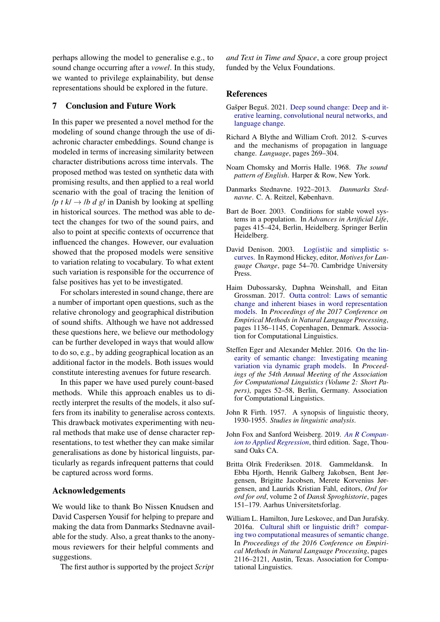perhaps allowing the model to generalise e.g., to sound change occurring after a *vowel*. In this study, we wanted to privilege explainability, but dense representations should be explored in the future.

## 7 Conclusion and Future Work

In this paper we presented a novel method for the modeling of sound change through the use of diachronic character embeddings. Sound change is modeled in terms of increasing similarity between character distributions across time intervals. The proposed method was tested on synthetic data with promising results, and then applied to a real world scenario with the goal of tracing the lenition of /*p t k*/  $\rightarrow$  /*b d g*/ in Danish by looking at spelling in historical sources. The method was able to detect the changes for two of the sound pairs, and also to point at specific contexts of occurrence that influenced the changes. However, our evaluation showed that the proposed models were sensitive to variation relating to vocabulary. To what extent such variation is responsible for the occurrence of false positives has yet to be investigated.

For scholars interested in sound change, there are a number of important open questions, such as the relative chronology and geographical distribution of sound shifts. Although we have not addressed these questions here, we believe our methodology can be further developed in ways that would allow to do so, e.g., by adding geographical location as an additional factor in the models. Both issues would constitute interesting avenues for future research.

In this paper we have used purely count-based methods. While this approach enables us to directly interpret the results of the models, it also suffers from its inability to generalise across contexts. This drawback motivates experimenting with neural methods that make use of dense character representations, to test whether they can make similar generalisations as done by historical linguists, particularly as regards infrequent patterns that could be captured across word forms.

#### Acknowledgements

We would like to thank Bo Nissen Knudsen and David Caspersen Yousif for helping to prepare and making the data from Danmarks Stednavne available for the study. Also, a great thanks to the anonymous reviewers for their helpful comments and suggestions.

The first author is supported by the project *Script*

*and Text in Time and Space*, a core group project funded by the Velux Foundations.

## References

- <span id="page-8-6"></span>Gašper Beguš. 2021. [Deep sound change: Deep and it](http://arxiv.org/abs/2011.05463)[erative learning, convolutional neural networks, and](http://arxiv.org/abs/2011.05463) [language change.](http://arxiv.org/abs/2011.05463)
- <span id="page-8-5"></span>Richard A Blythe and William Croft. 2012. S-curves and the mechanisms of propagation in language change. *Language*, pages 269–304.
- <span id="page-8-3"></span>Noam Chomsky and Morris Halle. 1968. *The sound pattern of English*. Harper & Row, New York.
- <span id="page-8-8"></span>Danmarks Stednavne. 1922–2013. *Danmarks Stednavne*. C. A. Reitzel, København.
- <span id="page-8-4"></span>Bart de Boer. 2003. Conditions for stable vowel systems in a population. In *Advances in Artificial Life*, pages 415–424, Berlin, Heidelberg. Springer Berlin Heidelberg.
- <span id="page-8-10"></span>David Denison. 2003. [Log\(ist\)ic and simplistic s](https://doi.org/10.1017/CBO9780511486937.005)[curves.](https://doi.org/10.1017/CBO9780511486937.005) In Raymond Hickey, editor, *Motives for Language Change*, page 54–70. Cambridge University **Press**.
- <span id="page-8-2"></span>Haim Dubossarsky, Daphna Weinshall, and Eitan Grossman. 2017. [Outta control: Laws of semantic](https://doi.org/10.18653/v1/D17-1118) [change and inherent biases in word representation](https://doi.org/10.18653/v1/D17-1118) [models.](https://doi.org/10.18653/v1/D17-1118) In *Proceedings of the 2017 Conference on Empirical Methods in Natural Language Processing*, pages 1136–1145, Copenhagen, Denmark. Association for Computational Linguistics.
- <span id="page-8-1"></span>Steffen Eger and Alexander Mehler. 2016. [On the lin](https://doi.org/10.18653/v1/P16-2009)[earity of semantic change: Investigating meaning](https://doi.org/10.18653/v1/P16-2009) [variation via dynamic graph models.](https://doi.org/10.18653/v1/P16-2009) In *Proceedings of the 54th Annual Meeting of the Association for Computational Linguistics (Volume 2: Short Papers)*, pages 52–58, Berlin, Germany. Association for Computational Linguistics.
- <span id="page-8-0"></span>John R Firth. 1957. A synopsis of linguistic theory, 1930-1955. *Studies in linguistic analysis*.
- <span id="page-8-9"></span>John Fox and Sanford Weisberg. 2019. *[An R Compan](https://socialsciences.mcmaster.ca/jfox/Books/Companion/)[ion to Applied Regression](https://socialsciences.mcmaster.ca/jfox/Books/Companion/)*, third edition. Sage, Thousand Oaks CA.
- <span id="page-8-7"></span>Britta Olrik Frederiksen. 2018. Gammeldansk. In Ebba Hjorth, Henrik Galberg Jakobsen, Bent Jørgensen, Brigitte Jacobsen, Merete Korvenius Jørgensen, and Laurids Kristian Fahl, editors, *Ord for ord for ord*, volume 2 of *Dansk Sproghistorie*, pages 151–179. Aarhus Universitetsforlag.
- <span id="page-8-11"></span>William L. Hamilton, Jure Leskovec, and Dan Jurafsky. 2016a. [Cultural shift or linguistic drift? compar](https://doi.org/10.18653/v1/D16-1229)[ing two computational measures of semantic change.](https://doi.org/10.18653/v1/D16-1229) In *Proceedings of the 2016 Conference on Empirical Methods in Natural Language Processing*, pages 2116–2121, Austin, Texas. Association for Computational Linguistics.